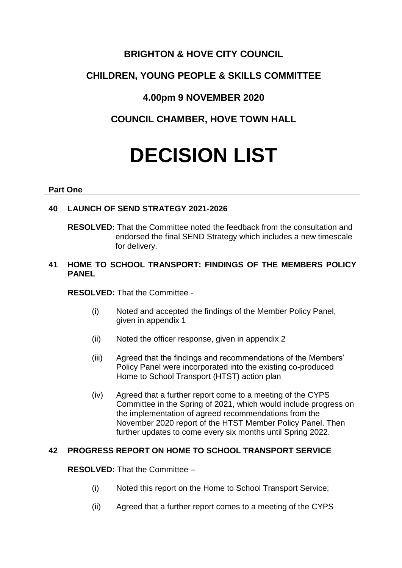# **BRIGHTON & HOVE CITY COUNCIL**

# **CHILDREN, YOUNG PEOPLE & SKILLS COMMITTEE**

# **4.00pm 9 NOVEMBER 2020**

# **COUNCIL CHAMBER, HOVE TOWN HALL**

# **DECISION LIST**

#### **Part One**

# **40 LAUNCH OF SEND STRATEGY 2021-2026**

**RESOLVED:** That the Committee noted the feedback from the consultation and endorsed the final SEND Strategy which includes a new timescale for delivery.

#### **41 HOME TO SCHOOL TRANSPORT: FINDINGS OF THE MEMBERS POLICY PANEL**

**RESOLVED:** That the Committee -

- (i) Noted and accepted the findings of the Member Policy Panel, given in appendix 1
- (ii) Noted the officer response, given in appendix 2
- (iii) Agreed that the findings and recommendations of the Members' Policy Panel were incorporated into the existing co-produced Home to School Transport (HTST) action plan
- (iv) Agreed that a further report come to a meeting of the CYPS Committee in the Spring of 2021, which would include progress on the implementation of agreed recommendations from the November 2020 report of the HTST Member Policy Panel. Then further updates to come every six months until Spring 2022.

## **42 PROGRESS REPORT ON HOME TO SCHOOL TRANSPORT SERVICE**

## **RESOLVED:** That the Committee –

- (i) Noted this report on the Home to School Transport Service;
- (ii) Agreed that a further report comes to a meeting of the CYPS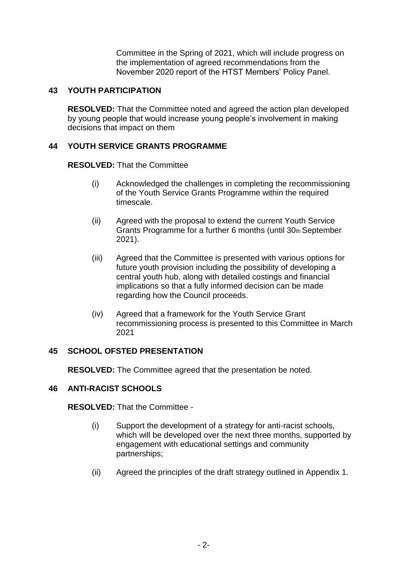Committee in the Spring of 2021, which will include progress on the implementation of agreed recommendations from the November 2020 report of the HTST Members' Policy Panel.

#### **43 YOUTH PARTICIPATION**

**RESOLVED:** That the Committee noted and agreed the action plan developed by young people that would increase young people's involvement in making decisions that impact on them

#### **44 YOUTH SERVICE GRANTS PROGRAMME**

**RESOLVED:** That the Committee

- (i) Acknowledged the challenges in completing the recommissioning of the Youth Service Grants Programme within the required timescale.
- (ii) Agreed with the proposal to extend the current Youth Service Grants Programme for a further 6 months (until 30th September 2021).
- (iii) Agreed that the Committee is presented with various options for future youth provision including the possibility of developing a central youth hub, along with detailed costings and financial implications so that a fully informed decision can be made regarding how the Council proceeds.
- (iv) Agreed that a framework for the Youth Service Grant recommissioning process is presented to this Committee in March 2021

## **45 SCHOOL OFSTED PRESENTATION**

**RESOLVED:** The Committee agreed that the presentation be noted.

## **46 ANTI-RACIST SCHOOLS**

**RESOLVED:** That the Committee -

- (i) Support the development of a strategy for anti-racist schools, which will be developed over the next three months, supported by engagement with educational settings and community partnerships;
- (ii) Agreed the principles of the draft strategy outlined in Appendix 1.